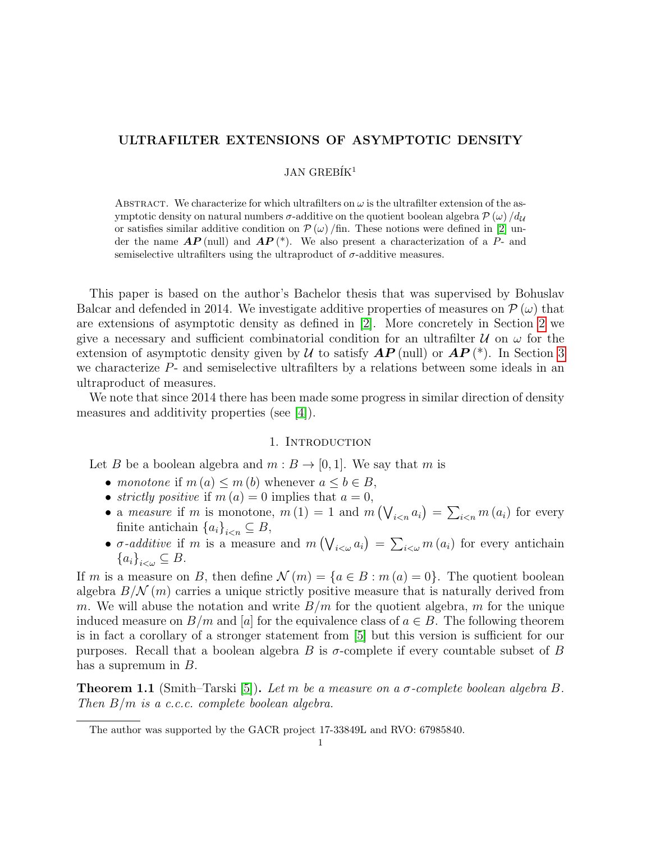# ULTRAFILTER EXTENSIONS OF ASYMPTOTIC DENSITY

## $JAN$  GREBIK<sup>1</sup>

ABSTRACT. We characterize for which ultrafilters on  $\omega$  is the ultrafilter extension of the asymptotic density on natural numbers  $\sigma$ -additive on the quotient boolean algebra  $\mathcal{P}(\omega) / d_{\mathcal{U}}$ or satisfies similar additive condition on  $\mathcal{P}(\omega)$  /fin. These notions were defined in [\[2\]](#page-11-0) under the name  $AP$  (null) and  $AP$  (\*). We also present a characterization of a P- and semiselective ultrafilters using the ultraproduct of  $\sigma$ -additive measures.

This paper is based on the author's Bachelor thesis that was supervised by Bohuslav Balcar and defended in 2014. We investigate additive properties of measures on  $\mathcal{P}(\omega)$  that are extensions of asymptotic density as defined in [\[2\]](#page-11-0). More concretely in Section [2](#page-2-0) we give a necessary and sufficient combinatorial condition for an ultrafilter  $\mathcal U$  on  $\omega$  for the extension of asymptotic density given by U to satisfy  $AP$  (null) or  $AP$  (\*). In Section [3](#page-9-0) we characterize  $P$ - and semiselective ultrafilters by a relations between some ideals in an ultraproduct of measures.

We note that since 2014 there has been made some progress in similar direction of density measures and additivity properties (see [\[4\]](#page-11-1)).

### 1. INTRODUCTION

Let B be a boolean algebra and  $m : B \to [0, 1]$ . We say that m is

- monotone if  $m(a) \leq m(b)$  whenever  $a \leq b \in B$ ,
- strictly positive if  $m(a) = 0$  implies that  $a = 0$ ,
- a measure if m is monotone,  $m(1) = 1$  and  $m(\bigvee_{i \leq n} a_i) = \sum_{i \leq n} m(a_i)$  for every finite antichain  ${a_i}_{i \leq n} \subseteq B$ ,
- $\sigma$ -*additive* if m is a measure and  $m(\bigvee_{i<\omega} a_i) = \sum_{i<\omega} m(a_i)$  for every antichain  ${a_i}_{i<\omega}\subseteq B$ .

If m is a measure on B, then define  $\mathcal{N}(m) = \{a \in B : m(a) = 0\}$ . The quotient boolean algebra  $B/N(m)$  carries a unique strictly positive measure that is naturally derived from m. We will abuse the notation and write  $B/m$  for the quotient algebra, m for the unique induced measure on  $B/m$  and [a] for the equivalence class of  $a \in B$ . The following theorem is in fact a corollary of a stronger statement from [\[5\]](#page-11-2) but this version is sufficient for our purposes. Recall that a boolean algebra B is  $\sigma$ -complete if every countable subset of B has a supremum in  $B$ .

<span id="page-0-0"></span>**Theorem 1.1** (Smith–Tarski [\[5\]](#page-11-2)). Let m be a measure on a  $\sigma$ -complete boolean algebra B. Then  $B/m$  is a c.c.c. complete boolean algebra.

The author was supported by the GACR project 17-33849L and RVO: 67985840.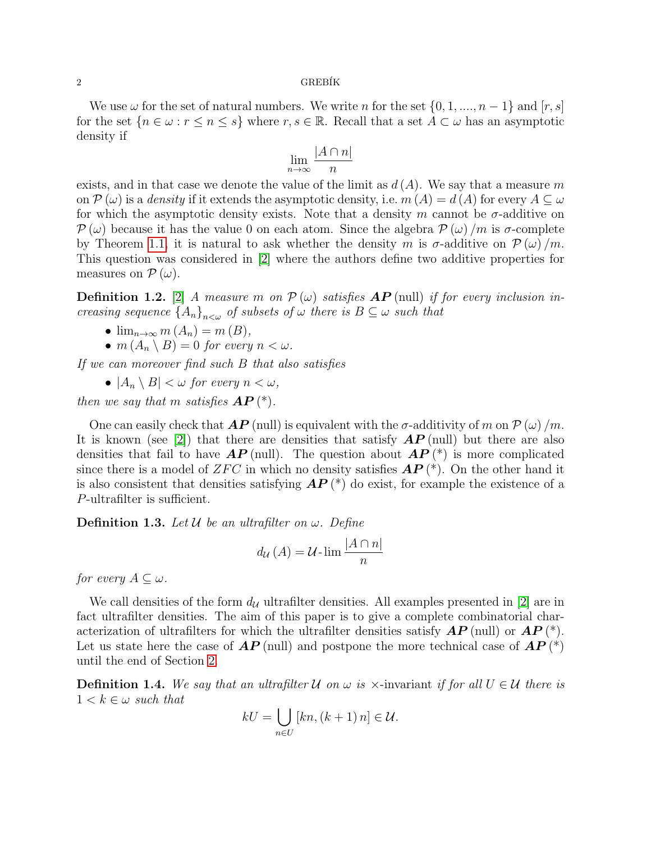### $2 \overline{G}$ REBÍK

We use  $\omega$  for the set of natural numbers. We write n for the set  $\{0, 1, ..., n-1\}$  and  $[r, s]$ for the set  ${n \in \omega : r \le n \le s}$  where  $r, s \in \mathbb{R}$ . Recall that a set  $A \subset \omega$  has an asymptotic density if

$$
\lim_{n \to \infty} \frac{|A \cap n|}{n}
$$

exists, and in that case we denote the value of the limit as  $d(A)$ . We say that a measure m on  $\mathcal{P}(\omega)$  is a density if it extends the asymptotic density, i.e.  $m(A) = d(A)$  for every  $A \subseteq \omega$ for which the asymptotic density exists. Note that a density m cannot be  $\sigma$ -additive on  $\mathcal{P}(\omega)$  because it has the value 0 on each atom. Since the algebra  $\mathcal{P}(\omega)/m$  is  $\sigma$ -complete by Theorem [1.1,](#page-0-0) it is natural to ask whether the density m is  $\sigma$ -additive on  $\mathcal{P}(\omega)/m$ . This question was considered in [\[2\]](#page-11-0) where the authors define two additive properties for measures on  $\mathcal{P}(\omega)$ .

**Definition 1.2.** [\[2\]](#page-11-0) A measure m on  $\mathcal{P}(\omega)$  satisfies  $\mathbf{AP}$  (null) if for every inclusion increasing sequence  ${A_n}_{n<\omega}$  of subsets of  $\omega$  there is  $B \subseteq \omega$  such that

- $\lim_{n\to\infty} m(A_n) = m(B),$
- $m(A_n \setminus B) = 0$  for every  $n < \omega$ .

If we can moreover find such B that also satisfies

•  $|A_n \setminus B| < \omega$  for every  $n < \omega$ ,

then we say that m satisfies  $AP(*)$ .

One can easily check that  $\bm{AP}$  (null) is equivalent with the  $\sigma$ -additivity of m on  $\mathcal{P}(\omega)/m$ . It is known (see [\[2\]](#page-11-0)) that there are densities that satisfy  $\overline{AP}$  (null) but there are also densities that fail to have  $AP$  (null). The question about  $AP(*)$  is more complicated since there is a model of ZFC in which no density satisfies  $AP(*)$ . On the other hand it is also consistent that densities satisfying  $AP$  (\*) do exist, for example the existence of a P-ultrafilter is sufficient.

**Definition 1.3.** Let  $\mathcal{U}$  be an ultrafilter on  $\omega$ . Define

$$
d_{\mathcal{U}}(A) = \mathcal{U} \cdot \lim \frac{|A \cap n|}{n}
$$

for every  $A \subseteq \omega$ .

We call densities of the form  $d_{\mathcal{U}}$  ultrafilter densities. All examples presented in [\[2\]](#page-11-0) are in fact ultrafilter densities. The aim of this paper is to give a complete combinatorial characterization of ultrafilters for which the ultrafilter densities satisfy  $\bm{AP}$  (null) or  $\bm{AP}$  (\*). Let us state here the case of  $AP$  (null) and postpone the more technical case of  $AP$  (\*) until the end of Section [2.](#page-2-0)

<span id="page-1-0"></span>**Definition 1.4.** We say that an ultrafilter U on  $\omega$  is  $\times$ -invariant if for all  $U \in U$  there is  $1 < k \in \omega$  such that

$$
kU = \bigcup_{n \in U} [kn, (k+1) n] \in \mathcal{U}.
$$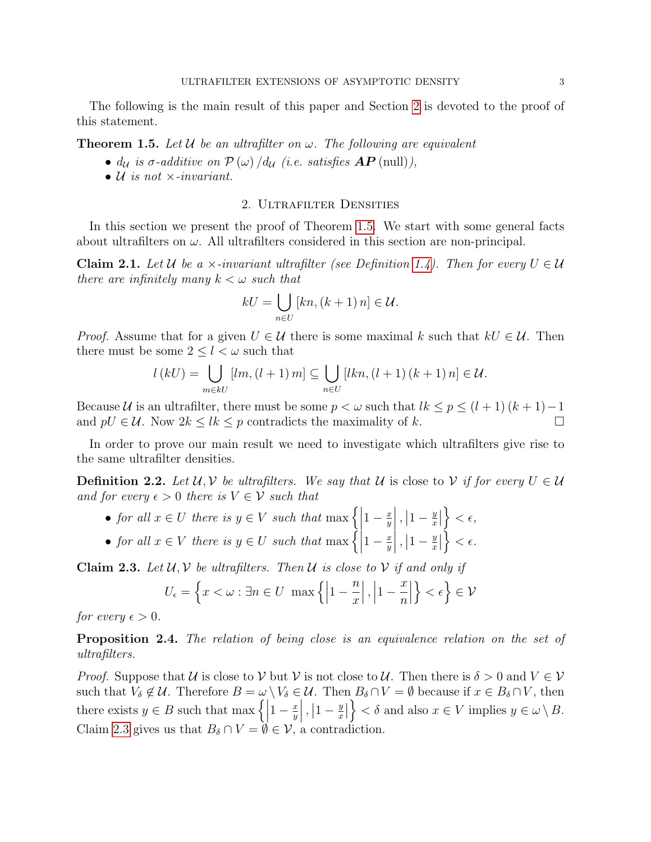The following is the main result of this paper and Section [2](#page-2-0) is devoted to the proof of this statement.

<span id="page-2-1"></span>**Theorem 1.5.** Let U be an ultrafilter on  $\omega$ . The following are equivalent

- $d_{\mathcal{U}}$  is  $\sigma$ -additive on  $\mathcal{P}(\omega) / d_{\mathcal{U}}$  (i.e. satisfies  $\mathbf{AP}$  (null)),
- $U$  is not  $\times$ -invariant.

# 2. Ultrafilter Densities

<span id="page-2-0"></span>In this section we present the proof of Theorem [1.5.](#page-2-1) We start with some general facts about ultrafilters on  $\omega$ . All ultrafilters considered in this section are non-principal.

<span id="page-2-4"></span>**Claim 2.1.** Let U be a  $\times$ -invariant ultrafilter (see Definition [1.4\)](#page-1-0). Then for every  $U \in \mathcal{U}$ there are infinitely many  $k < \omega$  such that

$$
kU = \bigcup_{n \in U} [kn, (k+1) n] \in \mathcal{U}.
$$

*Proof.* Assume that for a given  $U \in \mathcal{U}$  there is some maximal k such that  $kU \in \mathcal{U}$ . Then there must be some  $2 \leq l < \omega$  such that

$$
l(kU) = \bigcup_{m \in kU} [lm, (l+1) m] \subseteq \bigcup_{n \in U} [lkn, (l+1) (k+1) n] \in \mathcal{U}.
$$

Because U is an ultrafilter, there must be some  $p < \omega$  such that  $lk \leq p \leq (l + 1)(k + 1) - 1$ and  $pU \in \mathcal{U}$ . Now  $2k \leq lk \leq p$  contradicts the maximality of k.

In order to prove our main result we need to investigate which ultrafilters give rise to the same ultrafilter densities.

<span id="page-2-5"></span>**Definition 2.2.** Let  $U, V$  be ultrafilters. We say that U is close to V if for every  $U \in U$ and for every  $\epsilon > 0$  there is  $V \in \mathcal{V}$  such that

- for all  $x \in U$  there is  $y \in V$  such that  $\max \left\{ \left| \right. \right\}$  $1-\frac{x}{y}$  $\overline{y}$  $\Big\vert\,,\Big\vert1-\frac{y}{x}$  $\frac{y}{x}$  $\Big\} < \epsilon,$
- for all  $x \in V$  there is  $y \in U$  such that  $\max \left\{ \left| \right. \right\}$  $1-\frac{x}{y}$  $\overline{y}$  $\Big\vert \, , \Big\vert 1 - \frac{y}{x}$  $\frac{y}{x}$  $\Big\} < \epsilon.$

<span id="page-2-2"></span>**Claim 2.3.** Let  $U, V$  be ultrafilters. Then U is close to V if and only if

$$
U_{\epsilon}=\left\{x<\omega:\exists n\in U\;\;\max\left\{\left|1-\frac{n}{x}\right|,\left|1-\frac{x}{n}\right|\right\}<\epsilon\right\}\in\mathcal{V}
$$

for every  $\epsilon > 0$ .

<span id="page-2-3"></span>**Proposition 2.4.** The relation of being close is an equivalence relation on the set of ultrafilters.

*Proof.* Suppose that U is close to V but V is not close to U. Then there is  $\delta > 0$  and  $V \in V$ such that  $V_{\delta} \notin \mathcal{U}$ . Therefore  $B = \omega \setminus V_{\delta} \in \mathcal{U}$ . Then  $B_{\delta} \cap V = \emptyset$  because if  $x \in B_{\delta} \cap V$ , then there exists  $y \in B$  such that max  $\left\{ \right\}$  $1-\frac{x}{y}$  $\overline{y}$  $\Big\vert \, , \Big\vert 1 - \frac{y}{x}$  $\frac{y}{x}$  $\{\langle \xi \rangle \in \delta \text{ and also } x \in V \text{ implies } y \in \omega \setminus B. \}$ Claim [2.3](#page-2-2) gives us that  $B_\delta \cap V = \emptyset \in \mathcal{V}$ , a contradiction.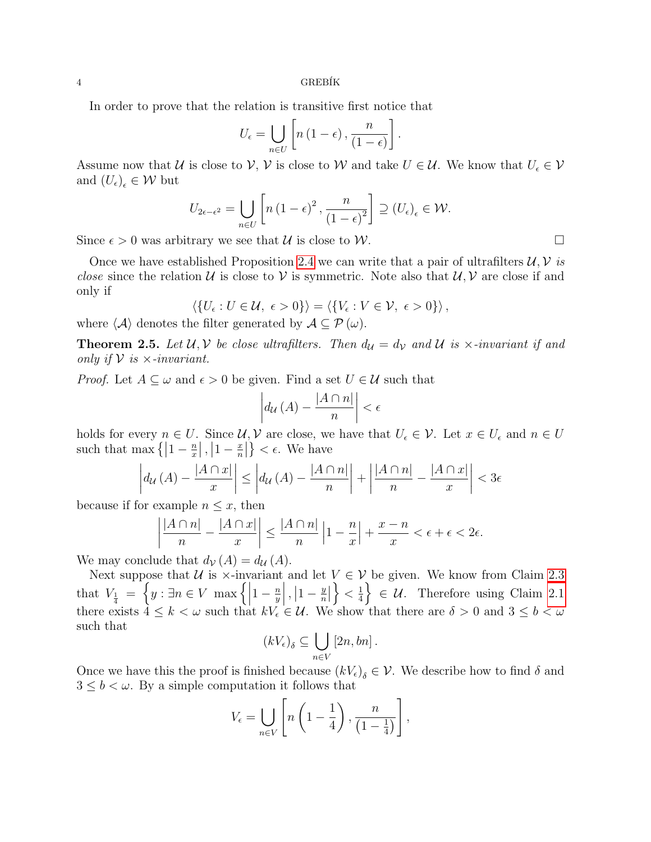4 GREB´IK

In order to prove that the relation is transitive first notice that

$$
U_{\epsilon} = \bigcup_{n \in U} \left[ n \left( 1 - \epsilon \right), \frac{n}{\left( 1 - \epsilon \right)} \right].
$$

Assume now that U is close to V, V is close to W and take  $U \in \mathcal{U}$ . We know that  $U_{\epsilon} \in \mathcal{V}$ and  $(U_{\epsilon})_{\epsilon} \in \mathcal{W}$  but

$$
U_{2\epsilon-\epsilon^2} = \bigcup_{n\in U} \left[ n\left(1-\epsilon\right)^2, \frac{n}{\left(1-\epsilon\right)^2} \right] \supseteq \left( U_{\epsilon} \right)_{\epsilon} \in \mathcal{W}.
$$

Since  $\epsilon > 0$  was arbitrary we see that U is close to W.

Once we have established Proposition [2.4](#page-2-3) we can write that a pair of ultrafilters  $\mathcal{U}, \mathcal{V}$  is *close* since the relation U is close to V is symmetric. Note also that  $U, V$  are close if and only if

$$
\langle \{U_{\epsilon}: U \in \mathcal{U}, \ \epsilon > 0\} \rangle = \langle \{V_{\epsilon}: V \in \mathcal{V}, \ \epsilon > 0\} \rangle,
$$

where  $\langle A \rangle$  denotes the filter generated by  $A \subseteq \mathcal{P}(\omega)$ .

**Theorem 2.5.** Let  $U, V$  be close ultrafilters. Then  $d_U = d_V$  and  $U$  is  $\times$ -invariant if and only if  $V$  is  $\times$ -invariant.

*Proof.* Let  $A \subseteq \omega$  and  $\epsilon > 0$  be given. Find a set  $U \in \mathcal{U}$  such that

$$
\left| d_{\mathcal{U}}(A) - \frac{|A \cap n|}{n} \right| < \epsilon
$$

holds for every  $n \in U$ . Since  $\mathcal{U}, \mathcal{V}$  are close, we have that  $U_{\epsilon} \in \mathcal{V}$ . Let  $x \in U_{\epsilon}$  and  $n \in U$ such that max  $\left\{ \left|1 - \frac{n}{x}\right\}$  $\frac{n}{x}$ ,  $\left|1-\frac{x}{n}\right|$  $\left| \frac{x}{n} \right| \} < \epsilon$ . We have

$$
\left| d_{\mathcal{U}}(A) - \frac{|A \cap x|}{x} \right| \le \left| d_{\mathcal{U}}(A) - \frac{|A \cap n|}{n} \right| + \left| \frac{|A \cap n|}{n} - \frac{|A \cap x|}{x} \right| < 3\epsilon
$$

because if for example  $n \leq x$ , then

$$
\left|\frac{|A\cap n|}{n} - \frac{|A\cap x|}{x}\right| \le \frac{|A\cap n|}{n} \left|1 - \frac{n}{x}\right| + \frac{x - n}{x} < \epsilon + \epsilon < 2\epsilon.
$$

We may conclude that  $d_{\mathcal{V}}(A) = d_{\mathcal{U}}(A)$ .

Next suppose that  $U$  is  $\times$ -invariant and let  $V \in V$  be given. We know from Claim [2.3](#page-2-2) that  $V_{\frac{1}{4}} = \left\{ y : \exists n \in V \; \max \left\{ \left| \right. \right. \right\}$  $1-\frac{n}{n}$  $\overline{y}$  $\left| , \left| 1 - \frac{y}{n} \right| \right|$  $\frac{y}{n}$  $\Big\} < \frac{1}{4}$  $\left\{\frac{1}{4}\right\} \in \mathcal{U}$ . Therefore using Claim [2.1](#page-2-4) there exists  $4 \leq k < \omega$  such that  $kV_{\epsilon} \in \mathcal{U}$ . We show that there are  $\delta > 0$  and  $3 \leq b < \omega$ such that

$$
(kV_{\epsilon})_{\delta} \subseteq \bigcup_{n \in V} [2n, bn].
$$

Once we have this the proof is finished because  $(kV_{\epsilon})_{\delta} \in \mathcal{V}$ . We describe how to find  $\delta$  and  $3 \leq b < \omega$  . By a simple computation it follows that

$$
V_{\epsilon} = \bigcup_{n \in V} \left[ n \left( 1 - \frac{1}{4} \right), \frac{n}{\left( 1 - \frac{1}{4} \right)} \right],
$$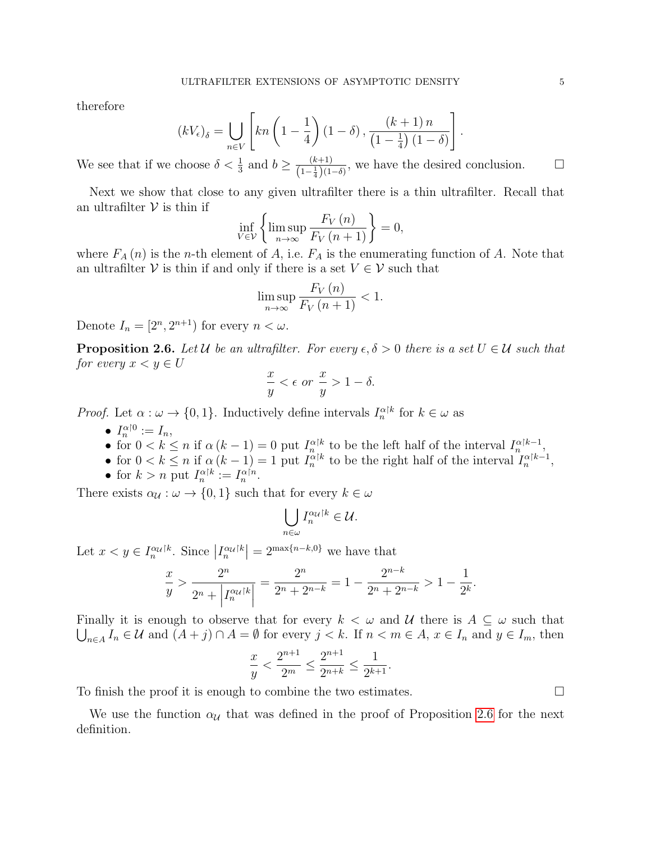therefore

$$
(kV_{\epsilon})_{\delta} = \bigcup_{n \in V} \left[ kn \left( 1 - \frac{1}{4} \right) \left( 1 - \delta \right), \frac{\left( k + 1 \right) n}{\left( 1 - \frac{1}{4} \right) \left( 1 - \delta \right)} \right]
$$

We see that if we choose  $\delta < \frac{1}{3}$  and  $b \geq \frac{(k+1)}{(1-\frac{1}{2})(1-\frac{1}{2})}$  $\frac{(k+1)}{(1-\frac{1}{4})(1-\delta)}$ , we have the desired conclusion. □

Next we show that close to any given ultrafilter there is a thin ultrafilter. Recall that an ultrafilter  $\mathcal V$  is thin if

$$
\inf_{V \in \mathcal{V}} \left\{ \limsup_{n \to \infty} \frac{F_V(n)}{F_V(n+1)} \right\} = 0,
$$

where  $F_A(n)$  is the n-th element of A, i.e.  $F_A$  is the enumerating function of A. Note that an ultrafilter V is thin if and only if there is a set  $V \in V$  such that

$$
\limsup_{n \to \infty} \frac{F_V(n)}{F_V(n+1)} < 1.
$$

Denote  $I_n = [2^n, 2^{n+1})$  for every  $n < \omega$ .

<span id="page-4-0"></span>**Proposition 2.6.** Let U be an ultrafilter. For every  $\epsilon, \delta > 0$  there is a set  $U \in \mathcal{U}$  such that for every  $x < y \in U$ 

$$
\frac{x}{y} < \epsilon \text{ or } \frac{x}{y} > 1 - \delta.
$$

*Proof.* Let  $\alpha : \omega \to \{0, 1\}$ . Inductively define intervals  $I_n^{\alpha | k}$  for  $k \in \omega$  as

- $I_n^{\alpha|0} := I_n$ ,
- for  $0 < k \leq n$  if  $\alpha (k-1) = 0$  put  $I_n^{\alpha |k}$  to be the left half of the interval  $I_n^{\alpha |k-1}$ ,
- for  $0 < k \leq n$  if  $\alpha(k-1) = 1$  put  $I_n^{\alpha|k}$  to be the right half of the interval  $I_n^{\alpha|k-1}$ ,
- for  $k > n$  put  $I_n^{\alpha|k} := I_n^{\alpha|n}$ .

There exists  $\alpha_{\mathcal{U}} : \omega \to \{0, 1\}$  such that for every  $k \in \omega$ 

$$
\bigcup_{n\in\omega}I_n^{\alpha_{\mathcal{U}}\restriction k}\in\mathcal{U}.
$$

Let  $x < y \in I_n^{\alpha}u^{k}$ . Since  $|I_n^{\alpha}u^{k}| = 2^{\max\{n-k,0\}}$  we have that

$$
\frac{x}{y} > \frac{2^n}{2^n + \left|I_n^{\alpha} u^{k}\right|} = \frac{2^n}{2^n + 2^{n-k}} = 1 - \frac{2^{n-k}}{2^n + 2^{n-k}} > 1 - \frac{1}{2^k}.
$$

Finally it is enough to observe that for every  $k < \omega$  and U there is  $A \subseteq \omega$  such that  $\bigcup_{n\in A} I_n \in \mathcal{U}$  and  $(A+j) \cap A = \emptyset$  for every  $j < k$ . If  $n < m \in A$ ,  $x \in I_n$  and  $y \in I_m$ , then

$$
\frac{x}{y} < \frac{2^{n+1}}{2^m} \le \frac{2^{n+1}}{2^{n+k}} \le \frac{1}{2^{k+1}}.
$$

To finish the proof it is enough to combine the two estimates.  $\Box$ 

We use the function  $\alpha_{\mathcal{U}}$  that was defined in the proof of Proposition [2.6](#page-4-0) for the next definition.

.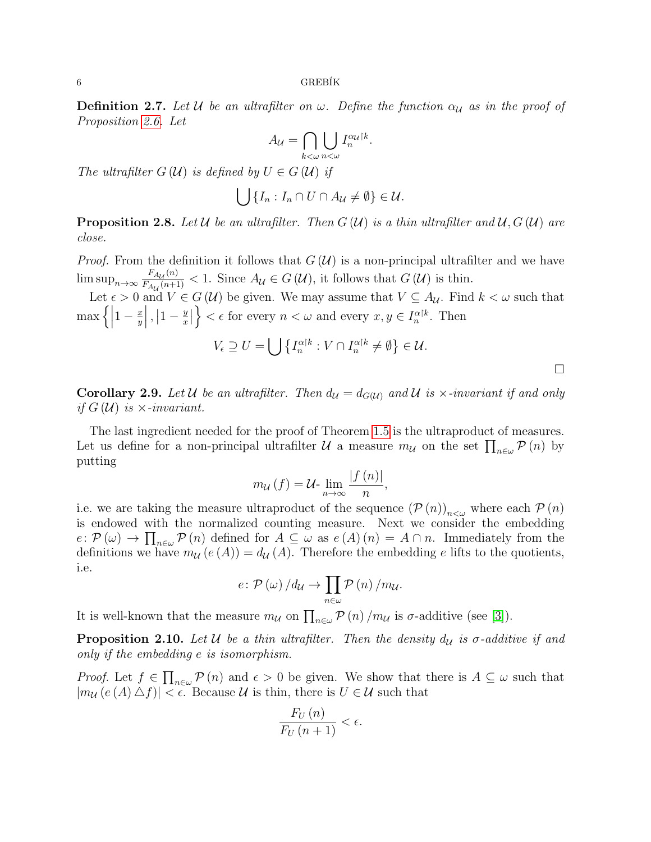**Definition 2.7.** Let U be an ultrafilter on  $\omega$ . Define the function  $\alpha_{\mathcal{U}}$  as in the proof of Proposition [2.6.](#page-4-0) Let

$$
A_{\mathcal{U}} = \bigcap_{k < \omega} \bigcup_{n < \omega} I_n^{\alpha_{\mathcal{U}}|k}
$$

.

The ultrafilter  $G(\mathcal{U})$  is defined by  $U \in G(\mathcal{U})$  if

$$
\bigcup \{I_n : I_n \cap U \cap A_{\mathcal{U}} \neq \emptyset\} \in \mathcal{U}.
$$

**Proposition 2.8.** Let U be an ultrafilter. Then  $G(\mathcal{U})$  is a thin ultrafilter and  $\mathcal{U}, G(\mathcal{U})$  are close.

*Proof.* From the definition it follows that  $G(\mathcal{U})$  is a non-principal ultrafilter and we have  $\limsup_{n\to\infty}\frac{F_{A_{\mathcal{U}}}(n)}{F_{A_{\mathcal{U}}}(n+1)}$  $\frac{F_{A_{\mathcal{U}}(n)}(n+1)}{F_{A_{\mathcal{U}}(n+1)}} < 1$ . Since  $A_{\mathcal{U}} \in G(\mathcal{U})$ , it follows that  $G(\mathcal{U})$  is thin.

Let  $\epsilon > 0$  and  $V \in G(\mathcal{U})$  be given. We may assume that  $V \subseteq A_{\mathcal{U}}$ . Find  $k < \omega$  such that  $\max\left\{\left|\right. \right.$  $1-\frac{x}{y}$  $\overline{y}$  $\Big\vert \ , \Big\vert 1-\frac{y}{x}$  $\frac{y}{x}$  $\{\epsilon \in \text{for every } n < \omega \text{ and every } x, y \in I_n^{\alpha|k}. \text{ Then}$ 

$$
V_{\epsilon} \supseteq U = \bigcup \left\{ I_n^{\alpha|k} : V \cap I_n^{\alpha|k} \neq \emptyset \right\} \in \mathcal{U}.
$$

 $\Box$ 

**Corollary 2.9.** Let U be an ultrafilter. Then  $d_{\mathcal{U}} = d_{G(\mathcal{U})}$  and U is  $\times$ -invariant if and only if  $G(\mathcal{U})$  is  $\times$ -invariant.

The last ingredient needed for the proof of Theorem [1.5](#page-2-1) is the ultraproduct of measures. Let us define for a non-principal ultrafilter  $\mathcal U$  a measure  $m_{\mathcal U}$  on the set  $\prod_{n\in\omega} \mathcal P(n)$  by putting

$$
m_{\mathcal{U}}(f) = \mathcal{U}\text{-}\lim_{n \to \infty} \frac{|f(n)|}{n},
$$

i.e. we are taking the measure ultraproduct of the sequence  $(\mathcal{P}(n))_{n\leq\omega}$  where each  $\mathcal{P}(n)$ is endowed with the normalized counting measure. Next we consider the embedding  $e: \mathcal{P}(\omega) \to \prod_{n \in \omega} \mathcal{P}(n)$  defined for  $A \subseteq \omega$  as  $e(A)(n) = A \cap n$ . Immediately from the definitions we have  $m_{\mathcal{U}}(e(A)) = d_{\mathcal{U}}(A)$ . Therefore the embedding e lifts to the quotients, i.e.

$$
e: \mathcal{P}\left(\omega\right)/d_{\mathcal{U}} \to \prod_{n \in \omega} \mathcal{P}\left(n\right)/m_{\mathcal{U}}.
$$

It is well-known that the measure  $m_{\mathcal{U}}$  on  $\prod_{n\in\omega}$   $\mathcal{P}(n)$  / $m_{\mathcal{U}}$  is  $\sigma$ -additive (see [\[3\]](#page-11-3)).

**Proposition 2.10.** Let U be a thin ultrafilter. Then the density  $d_{\mathcal{U}}$  is  $\sigma$ -additive if and only if the embedding e is isomorphism.

*Proof.* Let  $f \in \prod_{n \in \omega} \mathcal{P}(n)$  and  $\epsilon > 0$  be given. We show that there is  $A \subseteq \omega$  such that  $|m_{\mathcal{U}}(e(A) \Delta f)| < \epsilon$ . Because U is thin, there is  $U \in \mathcal{U}$  such that

$$
\frac{F_U(n)}{F_U(n+1)} < \epsilon.
$$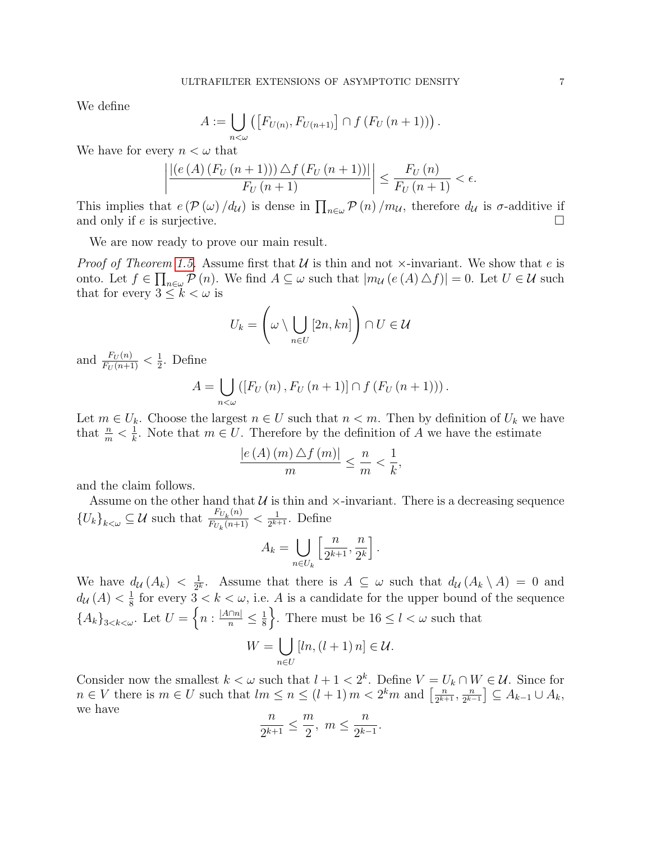We define

$$
A := \bigcup_{n < \omega} \left( \left[ F_{U(n)}, F_{U(n+1)} \right] \cap f \left( F_U \left( n + 1 \right) \right) \right)
$$

.

We have for every  $n < \omega$  that

$$
\left| \frac{\left| \left( e\left( A\right) \left( F_{U}\left( n+1\right) \right) \right) \triangle f\left( F_{U}\left( n+1\right) \right) \right| }{F_{U}\left( n+1\right)} \right| \leq \frac{F_{U}\left( n\right) }{F_{U}\left( n+1\right)} < \epsilon.
$$

This implies that  $e(P(\omega)/d_{\mathcal{U}})$  is dense in  $\prod_{n\in\omega}P(n)/m_{\mathcal{U}}$ , therefore  $d_{\mathcal{U}}$  is  $\sigma$ -additive if and only if e is surjective.

We are now ready to prove our main result.

*Proof of Theorem [1.5.](#page-2-1)* Assume first that  $U$  is thin and not  $\times$ -invariant. We show that e is onto. Let  $f \in \prod_{n \in \omega} \mathcal{P}(n)$ . We find  $A \subseteq \omega$  such that  $|m_{\mathcal{U}}(e(A) \triangle f)| = 0$ . Let  $U \in \mathcal{U}$  such that for every  $3 \leq k < \omega$  is

$$
U_k = \left(\omega \setminus \bigcup_{n \in U} [2n, kn]\right) \cap U \in \mathcal{U}
$$

and  $\frac{F_U(n)}{F_U(n+1)} < \frac{1}{2}$  $\frac{1}{2}$ . Define

$$
A = \bigcup_{n < \omega} ([F_U(n), F_U(n + 1)] \cap f (F_U(n + 1))).
$$

Let  $m \in U_k$ . Choose the largest  $n \in U$  such that  $n < m$ . Then by definition of  $U_k$  we have that  $\frac{n}{m} < \frac{1}{k}$  $\frac{1}{k}$ . Note that  $m \in U$ . Therefore by the definition of A we have the estimate

$$
\frac{|e(A)(m)\,\triangle f(m)|}{m} \leq \frac{n}{m} < \frac{1}{k},
$$

and the claim follows.

Assume on the other hand that  $U$  is thin and  $\times$ -invariant. There is a decreasing sequence  ${U_k}_{k<\omega}\subseteq \mathcal{U}$  such that  $\frac{F_{U_k}(n)}{F_{U_k}(n+1)}$  $\frac{F_{U_k}(n)}{F_{U_k}(n+1)} < \frac{1}{2^{k+1}}$  $\frac{1}{2^{k+1}}$ . Define

$$
A_k = \bigcup_{n \in U_k} \left[ \frac{n}{2^{k+1}}, \frac{n}{2^k} \right].
$$

We have  $d_{\mathcal{U}}(A_k) < \frac{1}{2^k}$  $\frac{1}{2^k}$ . Assume that there is  $A \subseteq \omega$  such that  $d_{\mathcal{U}}(A_k \setminus A) = 0$  and  $d_{\mathcal{U}}(A) < \frac{1}{8}$  $\frac{1}{8}$  for every  $3 < k < \omega$ , i.e. A is a candidate for the upper bound of the sequence  ${A_k}_{3 < k < \omega}$ . Let  $U = \left\{ n : \frac{|A \cap n|}{n} \leq \frac{1}{8} \right\}$  $\frac{1}{8}$ . There must be  $16 \leq l < \omega$  such that  $W = \begin{pmatrix} \end{pmatrix}$  $[ln,(l + 1) n] \in \mathcal{U}.$ 

Consider now the smallest  $k < \omega$  such that  $l + 1 < 2<sup>k</sup>$ . Define  $V = U_k \cap W \in \mathcal{U}$ . Since for  $n \in V$  there is  $m \in U$  such that  $lm \leq n \leq (l+1) m < 2<sup>k</sup>m$  and  $\left\lceil \frac{n}{2^{k+l}} \right\rceil$  $\frac{n}{2^{k+1}}, \frac{n}{2^{k-1}}$  $\left[\frac{n}{2^{k-1}}\right] \subseteq A_{k-1} \cup A_k,$ we have

n∈U

$$
\frac{n}{2^{k+1}} \leq \frac{m}{2}, \ m \leq \frac{n}{2^{k-1}}.
$$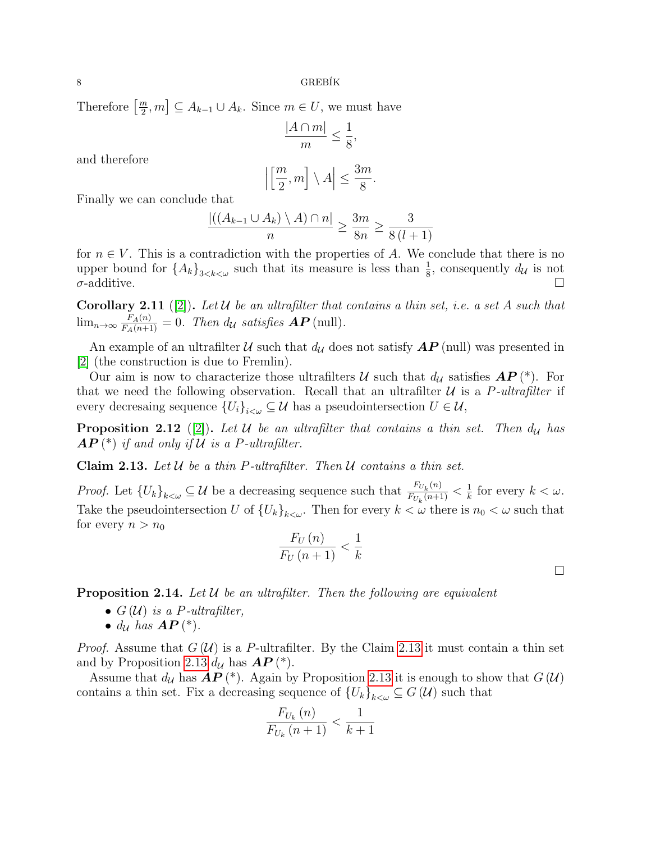$8$  GREBÍK

Therefore  $\left\lceil \frac{m}{2} \right\rceil$  $\left[\frac{m}{2},m\right] \subseteq A_{k-1} \cup A_k$ . Since  $m \in U$ , we must have

$$
\frac{|A \cap m|}{m} \le \frac{1}{8},
$$

and therefore

$$
\left|\left[\frac{m}{2},m\right]\setminus A\right| \le \frac{3m}{8}.
$$

Finally we can conclude that

$$
\frac{|((A_{k-1}\cup A_k)\setminus A)\cap n|}{n}\geq \frac{3m}{8n}\geq \frac{3}{8(l+1)}
$$

for  $n \in V$ . This is a contradiction with the properties of A. We conclude that there is no upper bound for  $\{A_k\}_{3\leq k\leq \omega}$  such that its measure is less than  $\frac{1}{8}$ , consequently  $d_{\mathcal{U}}$  is not  $\sigma$ -additive.

**Corollary 2.11** ([\[2\]](#page-11-0)). Let U be an ultrafilter that contains a thin set, i.e. a set A such that  $\lim_{n\to\infty} \frac{F_A(n)}{F_A(n+1)} = 0$ . Then  $d_{\mathcal{U}}$  satisfies  $\mathbf{AP}$  (null).

An example of an ultrafilter U such that  $d_{\mathcal{U}}$  does not satisfy  $\mathbf{AP}$  (null) was presented in [\[2\]](#page-11-0) (the construction is due to Fremlin).

Our aim is now to characterize those ultrafilters U such that  $d<sub>U</sub>$  satisfies  $AP(*)$ . For that we need the following observation. Recall that an ultrafilter  $\mathcal U$  is a P-ultrafilter if every decresaing sequence  ${U_i}_{i \leq \omega} \subseteq \mathcal{U}$  has a pseudointersection  $U \in \mathcal{U}$ ,

**Proposition 2.12** ([\[2\]](#page-11-0)). Let U be an ultrafilter that contains a thin set. Then  $d<sub>U</sub>$  has  $\bm{AP}$  (\*) if and only if U is a P-ultrafilter.

<span id="page-7-0"></span>Claim 2.13. Let  $U$  be a thin P-ultrafilter. Then  $U$  contains a thin set.

*Proof.* Let  ${U_k}_{k<\omega}\subseteq \mathcal{U}$  be a decreasing sequence such that  $\frac{F_{U_k}(n)}{F_{U_k}(n+1)}$  $\frac{F_{U_k}(n)}{F_{U_k}(n+1)} < \frac{1}{k}$  $\frac{1}{k}$  for every  $k < \omega$ . Take the pseudointersection U of  ${U_k}_{k\leq \omega}$ . Then for every  $k < \omega$  there is  $n_0 < \omega$  such that for every  $n > n_0$ 

$$
\frac{F_U(n)}{F_U(n+1)} < \frac{1}{k}
$$

 $\Box$ 

<span id="page-7-1"></span>**Proposition 2.14.** Let  $U$  be an ultrafilter. Then the following are equivalent

- $G(\mathcal{U})$  is a P-ultrafilter,
- $d_{\mathcal{U}}$  has  $AP$  (\*).

*Proof.* Assume that  $G(\mathcal{U})$  is a P-ultrafilter. By the Claim [2.13](#page-7-0) it must contain a thin set and by Proposition [2.13](#page-7-0)  $d_{\mathcal{U}}$  has  $\mathbf{AP}$  (\*).

Assume that  $d_{\mathcal{U}}$  has  $\mathbf{AP}$  (\*). Again by Proposition [2.13](#page-7-0) it is enough to show that  $G(\mathcal{U})$ contains a thin set. Fix a decreasing sequence of  ${U_k}_{k\lt\omega}\subseteq G(\mathcal{U})$  such that

$$
\frac{F_{U_k}(n)}{F_{U_k}(n+1)} < \frac{1}{k+1}
$$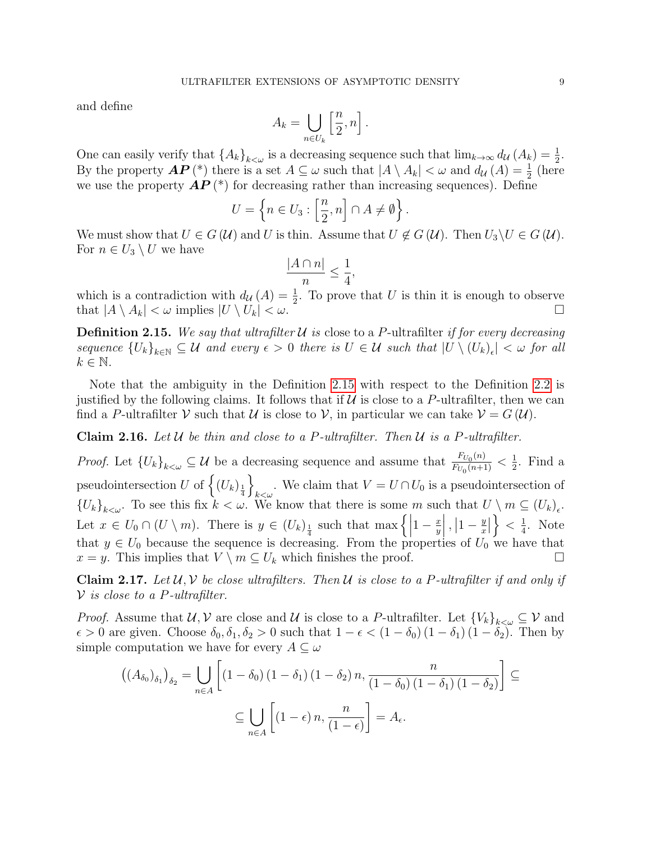and define

$$
A_k = \bigcup_{n \in U_k} \left[ \frac{n}{2}, n \right].
$$

One can easily verify that  $\{A_k\}_{k\leq\omega}$  is a decreasing sequence such that  $\lim_{k\to\infty} d_{\mathcal{U}}(A_k) = \frac{1}{2}$ . By the property  $\mathbf{AP}$  (\*) there is a set  $A \subseteq \omega$  such that  $|A \setminus A_k| < \omega$  and  $d_{\mathcal{U}}(A) = \frac{1}{2}$  (here we use the property  $AP$ <sup>(\*)</sup>) for decreasing rather than increasing sequences). Define

$$
U = \left\{ n \in U_3 : \left[ \frac{n}{2}, n \right] \cap A \neq \emptyset \right\}.
$$

We must show that  $U \in G(\mathcal{U})$  and U is thin. Assume that  $U \notin G(\mathcal{U})$ . Then  $U_3 \setminus U \in G(\mathcal{U})$ . For  $n \in U_3 \setminus U$  we have

$$
\frac{|A \cap n|}{n} \le \frac{1}{4},
$$

which is a contradiction with  $d_{\mathcal{U}}(A) = \frac{1}{2}$ . To prove that U is thin it is enough to observe that  $|A \setminus A_k| < \omega$  implies  $|U \setminus U_k| < \omega$ .

<span id="page-8-0"></span>**Definition 2.15.** We say that ultrafilter U is close to a P-ultrafilter if for every decreasing sequence  ${U_k}_{k\in\mathbb{N}} \subseteq \mathcal{U}$  and every  $\epsilon > 0$  there is  $U \in \mathcal{U}$  such that  $|U \setminus (U_k)_{\epsilon}| < \omega$  for all  $k \in \mathbb{N}$ .

Note that the ambiguity in the Definition [2.15](#page-8-0) with respect to the Definition [2.2](#page-2-5) is justified by the following claims. It follows that if  $\mathcal U$  is close to a P-ultrafilter, then we can find a P-ultrafilter V such that U is close to V, in particular we can take  $V = G(\mathcal{U})$ .

<span id="page-8-1"></span>**Claim 2.16.** Let  $U$  be thin and close to a P-ultrafilter. Then  $U$  is a P-ultrafilter.

*Proof.* Let  ${U_k}_{k<\omega}\subseteq \mathcal{U}$  be a decreasing sequence and assume that  $\frac{F_{U_0}(n)}{F_{U_0}(n+1)}$  $\frac{F_{U_0}(n)}{F_{U_0}(n+1)} < \frac{1}{2}$  $\frac{1}{2}$ . Find a pseudointersection U of  $\Big\{ (U_k)_{\frac{1}{4}}$ o . We claim that  $V = U \cap U_0$  is a pseudointersection of  ${U_k}_{k\lt\omega}$ . To see this fix  $k<\omega$ . We know that there is some m such that  $U\setminus m\subseteq (U_k)_{\epsilon}$ . Let  $x \in U_0 \cap (U \setminus m)$ . There is  $y \in (U_k)_{\frac{1}{4}}$  such that max  $\left\{ \left| \begin{array}{c} 1 \end{array} \right|$  $1-\frac{x}{y}$  $\overline{y}$  $\Big|$ ,  $\Big|1-\frac{y}{x}\Big|$  $\frac{y}{x}$  $\Big\} < \frac{1}{4}$  $\frac{1}{4}$ . Note that  $y \in U_0$  because the sequence is decreasing. From the properties of  $U_0$  we have that  $x = y$ . This implies that  $V \setminus m \subseteq U_k$  which finishes the proof.

<span id="page-8-2"></span>**Claim 2.17.** Let  $\mathcal{U}, \mathcal{V}$  be close ultrafilters. Then  $\mathcal{U}$  is close to a P-ultrafilter if and only if  $V$  is close to a P-ultrafilter.

*Proof.* Assume that  $U, V$  are close and U is close to a P-ultrafilter. Let  ${V_k}_{k\lt\omega}\subseteq V$  and  $\epsilon > 0$  are given. Choose  $\delta_0, \delta_1, \delta_2 > 0$  such that  $1 - \epsilon < (1 - \delta_0) (1 - \delta_1) (1 - \delta_2)$ . Then by simple computation we have for every  $A \subseteq \omega$ 

$$
((A_{\delta_0})_{\delta_1})_{\delta_2} = \bigcup_{n \in A} \left[ (1 - \delta_0) (1 - \delta_1) (1 - \delta_2) n, \frac{n}{(1 - \delta_0) (1 - \delta_1) (1 - \delta_2)} \right] \subseteq
$$
  

$$
\subseteq \bigcup_{n \in A} \left[ (1 - \epsilon) n, \frac{n}{(1 - \epsilon)} \right] = A_{\epsilon}.
$$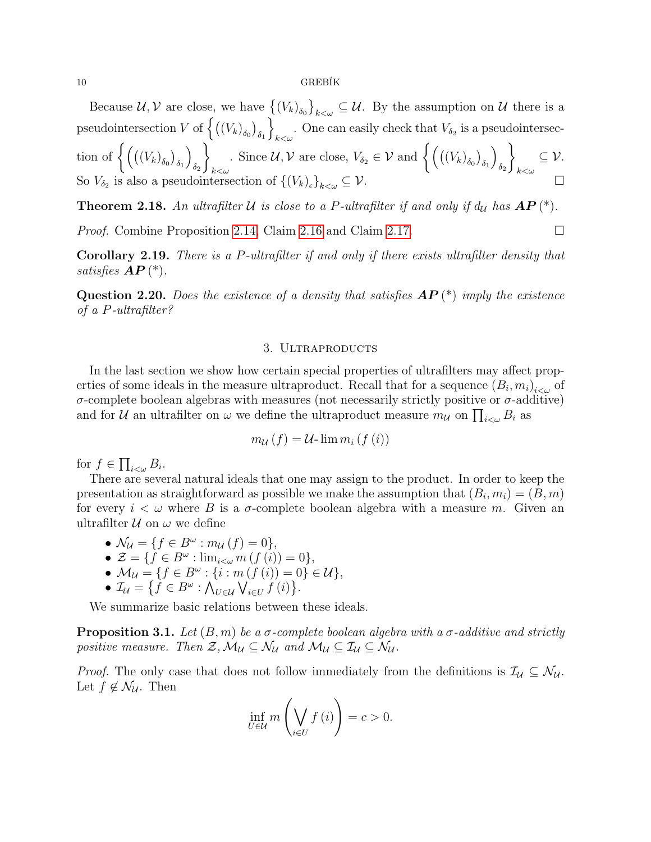10 GREB´IK

Because  $\mathcal{U}, \mathcal{V}$  are close, we have  $\{(V_k)_{\delta_0}\}_{k\leq\omega}\subseteq\mathcal{U}$ . By the assumption on  $\mathcal{U}$  there is a pseudointersection V of  $\left\{ \left( \left( V_{k}\right) _{\delta_{0}}\right) _{\delta_{1}}\right\}$ o . One can easily check that  $V_{\delta_2}$  is a pseudointersection of  $\Big\{\big( \big( (V_k)_{\delta_0} \big)_{\delta_1}$  $\setminus$  $\delta_2$  $\mathcal{L}$  $_{k<\omega}$ . Since  $\mathcal{U}, \mathcal{V}$  are close,  $V_{\delta_2} \in \mathcal{V}$  and  $\left\{ \left( ((V_k)_{\delta_0})_{\delta_1} \right)_{\delta_1} \right\}$  $\setminus$  $\delta_2$  $\mathcal{L}$  $_{k<\omega}$  $\subseteq \mathcal{V}$ . So  $V_{\delta_2}$  is also a pseudointersection of  $\{(V_k)_{\epsilon}$  $\{k\}_{k\leq\omega}\subseteq\mathcal{V}.$ 

**Theorem 2.18.** An ultrafilter U is close to a P-ultrafilter if and only if  $d<sub>U</sub>$  has  $AP(*)$ .

*Proof.* Combine Proposition [2.14,](#page-7-1) Claim [2.16](#page-8-1) and Claim [2.17.](#page-8-2)

Corollary 2.19. There is a P-ultrafilter if and only if there exists ultrafilter density that satisfies  $AP$  (\*).

**Question 2.20.** Does the existence of a density that satisfies  $AP(*)$  imply the existence of a P-ultrafilter?

### 3. ULTRAPRODUCTS

<span id="page-9-0"></span>In the last section we show how certain special properties of ultrafilters may affect properties of some ideals in the measure ultraproduct. Recall that for a sequence  $(B_i, m_i)_{i \lt \omega}$  of  $\sigma$ -complete boolean algebras with measures (not necessarily strictly positive or  $\sigma$ -additive) and for  $\mathcal U$  an ultrafilter on  $\omega$  we define the ultraproduct measure  $m_{\mathcal U}$  on  $\prod_{i<\omega} B_i$  as

$$
m_{\mathcal{U}}(f) = \mathcal{U}\text{-}\lim m_i(f(i))
$$

for  $f \in \prod_{i<\omega} B_i$ .

There are several natural ideals that one may assign to the product. In order to keep the presentation as straightforward as possible we make the assumption that  $(B_i, m_i) = (B, m)$ for every  $i < \omega$  where B is a  $\sigma$ -complete boolean algebra with a measure m. Given an ultrafilter  $\mathcal U$  on  $\omega$  we define

$$
\bullet \mathcal{N}_{\mathcal{U}} = \{ f \in B^{\omega} : m_{\mathcal{U}}(f) = 0 \},
$$

- $\mathcal{Z} = \{ f \in B^{\omega} : \lim_{i < \omega} m(f(i)) = 0 \},\$
- $M_{\mathcal{U}} = \{f \in B^{\omega} : \{i : m(f(i)) = 0\} \in \mathcal{U}\},\$

• 
$$
\mathcal{I}_{\mathcal{U}} = \{ f \in B^{\omega} : \bigwedge_{U \in \mathcal{U}} \bigvee_{i \in U} f(i) \}.
$$

We summarize basic relations between these ideals.

**Proposition 3.1.** Let  $(B, m)$  be a  $\sigma$ -complete boolean algebra with a  $\sigma$ -additive and strictly positive measure. Then  $\mathcal{Z},\mathcal{M}_{\mathcal{U}}\subseteq \mathcal{N}_{\mathcal{U}}$  and  $\mathcal{M}_{\mathcal{U}}\subseteq \mathcal{I}_{\mathcal{U}}\subseteq \mathcal{N}_{\mathcal{U}}$ .

*Proof.* The only case that does not follow immediately from the definitions is  $\mathcal{I}_U \subseteq \mathcal{N}_U$ . Let  $f \notin \mathcal{N}_{\mathcal{U}}$ . Then

$$
\inf_{U \in \mathcal{U}} m\left(\bigvee_{i \in U} f(i)\right) = c > 0.
$$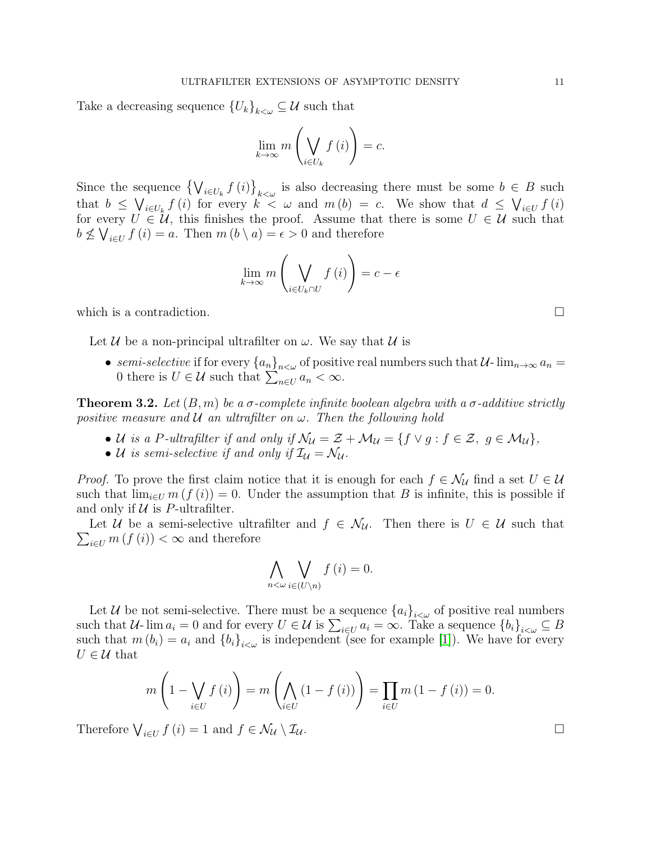Take a decreasing sequence  ${U_k}_{k\lt\omega}\subseteq\mathcal{U}$  such that

$$
\lim_{k \to \infty} m\left(\bigvee_{i \in U_k} f(i)\right) = c.
$$

Since the sequence  $\left\{\bigvee_{i\in U_k}f(i)\right\}_{k\leq\omega}$  is also decreasing there must be some  $b\in B$  such that  $b \leq \bigvee_{i \in U_k} f(i)$  for every  $k < \omega$  and  $m(b) = c$ . We show that  $d \leq \bigvee_{i \in U} f(i)$ for every  $U \in \mathcal{U}$ , this finishes the proof. Assume that there is some  $U \in \mathcal{U}$  such that  $b \not\leq \bigvee_{i \in U} f(i) = a$ . Then  $m(b \setminus a) = \epsilon > 0$  and therefore

$$
\lim_{k \to \infty} m\left(\bigvee_{i \in U_k \cap U} f(i)\right) = c - \epsilon
$$

which is a contradiction.  $\Box$ 

Let U be a non-principal ultrafilter on  $\omega$ . We say that U is

• semi-selective if for every  ${a_n}_{n<\omega}$  of positive real numbers such that  $\mathcal{U}$ - $\lim_{n\to\infty} a_n =$ 0 there is  $U \in \mathcal{U}$  such that  $\sum_{n \in U} a_n < \infty$ .

**Theorem 3.2.** Let  $(B, m)$  be a  $\sigma$ -complete infinite boolean algebra with a  $\sigma$ -additive strictly positive measure and  $U$  an ultrafilter on  $\omega$ . Then the following hold

- U is a P-ultrafilter if and only if  $\mathcal{N}_u = \mathcal{Z} + \mathcal{M}_u = \{f \vee g : f \in \mathcal{Z}, g \in \mathcal{M}_u\},\$
- U is semi-selective if and only if  $\mathcal{I}_u = \mathcal{N}_u$ .

*Proof.* To prove the first claim notice that it is enough for each  $f \in \mathcal{N}_U$  find a set  $U \in \mathcal{U}$ such that  $\lim_{i\in U} m(f(i)) = 0$ . Under the assumption that B is infinite, this is possible if and only if  $U$  is P-ultrafilter.

 $\sum_{i\in U} m(f(i)) < \infty$  and therefore Let U be a semi-selective ultrafilter and  $f \in \mathcal{N}_{\mathcal{U}}$ . Then there is  $U \in \mathcal{U}$  such that

$$
\bigwedge_{n<\omega}\bigvee_{i\in(U\setminus n)}f(i)=0.
$$

Let U be not semi-selective. There must be a sequence  ${a_i}_{i\leq \omega}$  of positive real numbers such that  $U$ - lim  $a_i = 0$  and for every  $U \in \mathcal{U}$  is  $\sum_{i \in U} a_i = \infty$ . Take a sequence  ${b_i}_{i \lt \omega} \subseteq B$ such that  $m(b_i) = a_i$  and  ${b_i}_{i \leq \omega}$  is independent (see for example [\[1\]](#page-11-4)). We have for every  $U \in \mathcal{U}$  that

$$
m\left(1 - \bigvee_{i \in U} f(i)\right) = m\left(\bigwedge_{i \in U} (1 - f(i))\right) = \prod_{i \in U} m\left(1 - f(i)\right) = 0.
$$

Therefore  $\bigvee_{i\in U} f(i) = 1$  and  $f \in \mathcal{N}_U \setminus \mathcal{I}_U$ .